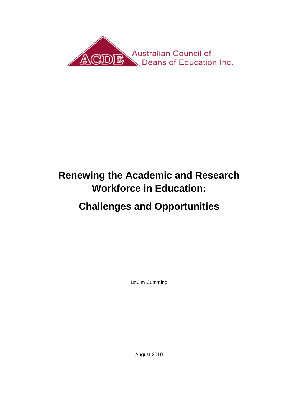

# **Renewing the Academic and Research Workforce in Education:**

# **Challenges and Opportunities**

Dr Jim Cumming

August 2010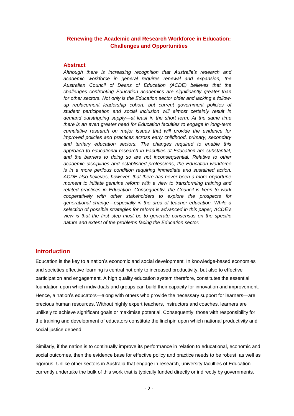# **Renewing the Academic and Research Workforce in Education: Challenges and Opportunities**

#### **Abstract**

*Although there is increasing recognition that Australia's research and academic workforce in general requires renewal and expansion, the Australian Council of Deans of Education (ACDE) believes that the challenges confronting Education academics are significantly greater than for other sectors. Not only is the Education sector older and lacking a followup replacement leadership cohort, but current government policies of student participation and social inclusion will almost certainly result in demand outstripping supply—at least in the short term. At the same time there is an even greater need for Education faculties to engage in long-term cumulative research on major issues that will provide the evidence for improved policies and practices across early childhood, primary, secondary and tertiary education sectors. The changes required to enable this approach to educational research in Faculties of Education are substantial, and the barriers to doing so are not inconsequential. Relative to other academic disciplines and established professions, the Education workforce is in a more perilous condition requiring immediate and sustained action. ACDE also believes, however, that there has never been a more opportune moment to initiate genuine reform with a view to transforming training and related practices in Education. Consequently, the Council is keen to work cooperatively with other stakeholders to explore the prospects for generational change—especially in the area of teacher education. While a selection of possible strategies for reform is advanced in this paper, ACDE's view is that the first step must be to generate consensus on the specific nature and extent of the problems facing the Education sector.*

### **Introduction**

Education is the key to a nation"s economic and social development. In knowledge-based economies and societies effective learning is central not only to increased productivity, but also to effective participation and engagement. A high quality education system therefore, constitutes the essential foundation upon which individuals and groups can build their capacity for innovation and improvement. Hence, a nation"s educators—along with others who provide the necessary support for learners—are precious human resources. Without highly expert teachers, instructors and coaches, learners are unlikely to achieve significant goals or maximise potential. Consequently, those with responsibility for the training and development of educators constitute the linchpin upon which national productivity and social justice depend.

Similarly, if the nation is to continually improve its performance in relation to educational, economic and social outcomes, then the evidence base for effective policy and practice needs to be robust, as well as rigorous. Unlike other sectors in Australia that engage in research, university faculties of Education currently undertake the bulk of this work that is typically funded directly or indirectly by governments.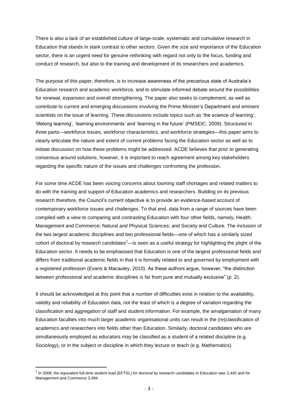There is also a lack of an established culture of large-scale, systematic and cumulative research in Education that stands in stark contrast to other sectors. Given the size and importance of the Education sector, there is an urgent need for genuine rethinking with regard not only to the focus, funding and conduct of research, but also to the training and development of its researchers and academics.

The purpose of this paper, therefore, is to increase awareness of the precarious state of Australia"s Education research and academic workforce, and to stimulate informed debate around the possibilities for renewal, expansion and overall strengthening. The paper also seeks to complement, as well as contribute to current and emerging discussions involving the Prime Minister"s Department and eminent scientists on the issue of learning. These discussions include topics such as 'the science of learning', "lifelong learning", "learning environments" and "learning in the future" (PMSEIC, 2009). Structured in three parts—workforce issues, workforce characteristics, and workforce strategies—this paper aims to clearly articulate the nature and extent of current problems facing the Education sector as well as to initiate discussion on how these problems might be addressed. ACDE believes that prior to generating consensus around solutions, however, it is important to reach agreement among key stakeholders regarding the specific nature of the issues and challenges confronting the profession.

For some time ACDE has been voicing concerns about looming staff shortages and related matters to do with the training and support of Education academics and researchers. Building on its previous research therefore, the Council"s current objective is to provide an evidence-based account of contemporary workforce issues and challenges. To that end, data from a range of sources have been compiled with a view to comparing and contrasting Education with four other fields, namely, Health; Management and Commerce; Natural and Physical Sciences; and Society and Culture. The inclusion of the two largest academic disciplines and two professional fields—one of which has a similarly sized cohort of doctoral by research candidates $1$ —is seen as a useful strategy for highlighting the plight of the Education sector. It needs to be emphasised that Education is one of the largest professional fields and differs from traditional academic fields in that it is formally related to and governed by employment with a registered profession (Evans & Macauley, 2010). As these authors argue, however, "the distinction between professional and academic disciplines is far from pure and mutually exclusive" (p. 2).

It should be acknowledged at this point that a number of difficulties exist in relation to the availability, validity and reliability of Education data, not the least of which is a degree of variation regarding the classification and aggregation of staff and student information. For example, the amalgamation of many Education faculties into much larger academic organisational units can result in the (re)classification of academics and researchers into fields other than Education. Similarly, doctoral candidates who are simultaneously employed as educators may be classified as a student of a related discipline (e.g. Sociology), or in the subject or discipline in which they lecture or teach (e.g. Mathematics).

 $\overline{\phantom{a}}$ 

 $^1$  In 2008, the equivalent full-time student load (EFTSL) for doctoral by research candidates in Education was 3,445 and for Management and Commerce 3,494.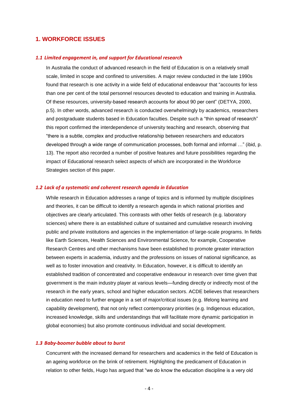# **1. WORKFORCE ISSUES**

#### *1.1 Limited engagement in, and support for Educational research*

In Australia the conduct of advanced research in the field of Education is on a relatively small scale, limited in scope and confined to universities. A major review conducted in the late 1990s found that research is one activity in a wide field of educational endeavour that "accounts for less than one per cent of the total personnel resources devoted to education and training in Australia. Of these resources, university-based research accounts for about 90 per cent" (DETYA, 2000, p.5). In other words, advanced research is conducted overwhelmingly by academics, researchers and postgraduate students based in Education faculties. Despite such a "thin spread of research" this report confirmed the interdependence of university teaching and research, observing that "there is a subtle, complex and productive relationship between researchers and educators developed through a wide range of communication processes, both formal and informal …" (ibid, p. 13). The report also recorded a number of positive features and future possibilities regarding the impact of Educational research select aspects of which are incorporated in the Workforce Strategies section of this paper.

#### *1.2 Lack of a systematic and coherent research agenda in Education*

While research in Education addresses a range of topics and is informed by multiple disciplines and theories, it can be difficult to identify a research agenda in which national priorities and objectives are clearly articulated. This contrasts with other fields of research (e.g. laboratory sciences) where there is an established culture of sustained and cumulative research involving public and private institutions and agencies in the implementation of large-scale programs. In fields like Earth Sciences, Health Sciences and Environmental Science, for example, Cooperative Research Centres and other mechanisms have been established to promote greater interaction between experts in academia, industry and the professions on issues of national significance, as well as to foster innovation and creativity. In Education, however, it is difficult to identify an established tradition of concentrated and cooperative endeavour in research over time given that government is the main industry player at various levels—funding directly or indirectly most of the research in the early years, school and higher education sectors. ACDE believes that researchers in education need to further engage in a set of major/critical issues (e.g. lifelong learning and capability development), that not only reflect contemporary priorities (e.g. Indigenous education, increased knowledge, skills and understandings that will facilitate more dynamic participation in global economies) but also promote continuous individual and social development.

#### *1.3 Baby-boomer bubble about to burst*

Concurrent with the increased demand for researchers and academics in the field of Education is an ageing workforce on the brink of retirement. Highlighting the predicament of Education in relation to other fields, Hugo has argued that "we do know the education discipline is a very old

- 4 -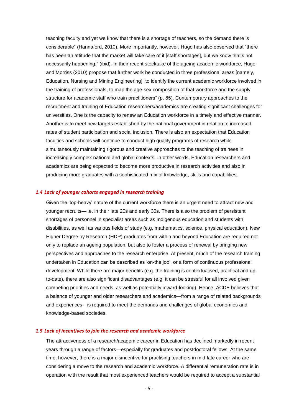teaching faculty and yet we know that there is a shortage of teachers, so the demand there is considerable" (Hannaford, 2010). More importantly, however, Hugo has also observed that "there has been an attitude that the market will take care of it [staff shortages], but we know that's not necessarily happening." (ibid). In their recent stocktake of the ageing academic workforce, Hugo and Morriss (2010) propose that further work be conducted in three professional areas [namely, Education, Nursing and Mining Engineering] "to identify the current academic workforce involved in the training of professionals, to map the age-sex composition of that workforce and the supply structure for academic staff who train practitioners" (p. 85). Contemporary approaches to the recruitment and training of Education researchers/academics are creating significant challenges for universities. One is the capacity to renew an Education workforce in a timely and effective manner. Another is to meet new targets established by the national government in relation to increased rates of student participation and social inclusion. There is also an expectation that Education faculties and schools will continue to conduct high quality programs of research while simultaneously maintaining rigorous and creative approaches to the teaching of trainees in increasingly complex national and global contexts. In other words, Education researchers and academics are being expected to become more productive in research activities and also in producing more graduates with a sophisticated mix of knowledge, skills and capabilities.

### *1.4 Lack of younger cohorts engaged in research training*

Given the "top-heavy" nature of the current workforce there is an urgent need to attract new and younger recruits—i.e. in their late 20s and early 30s. There is also the problem of persistent shortages of personnel in specialist areas such as Indigenous education and students with disabilities, as well as various fields of study (e.g. mathematics, science, physical education). New Higher Degree by Research (HDR) graduates from within and beyond Education are required not only to replace an ageing population, but also to foster a process of renewal by bringing new perspectives and approaches to the research enterprise. At present, much of the research training undertaken in Education can be described as "on-the job", or a form of continuous professional development. While there are major benefits (e.g. the training is contextualised, practical and upto-date), there are also significant disadvantages (e.g. it can be stressful for all involved given competing priorities and needs, as well as potentially inward-looking). Hence, ACDE believes that a balance of younger and older researchers and academics—from a range of related backgrounds and experiences—is required to meet the demands and challenges of global economies and knowledge-based societies.

### *1.5 Lack of incentives to join the research and academic workforce*

The attractiveness of a research/academic career in Education has declined markedly in recent years through a range of factors—especially for graduates and postdoctoral fellows. At the same time, however, there is a major disincentive for practising teachers in mid-late career who are considering a move to the research and academic workforce. A differential remuneration rate is in operation with the result that most experienced teachers would be required to accept a substantial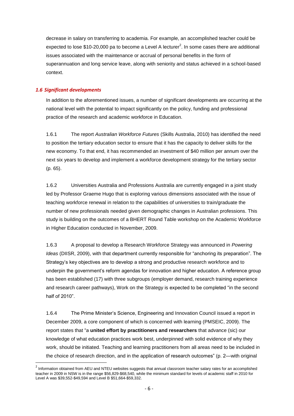decrease in salary on transferring to academia. For example, an accomplished teacher could be expected to lose \$10-20,000 pa to become a Level A lecturer<sup>2</sup>. In some cases there are additional issues associated with the maintenance or accrual of personal benefits in the form of superannuation and long service leave, along with seniority and status achieved in a school-based context.

# *1.6 Significant developments*

**.** 

In addition to the aforementioned issues, a number of significant developments are occurring at the national level with the potential to impact significantly on the policy, funding and professional practice of the research and academic workforce in Education.

1.6.1 The report *Australian Workforce Futures* (Skills Australia, 2010) has identified the need to position the tertiary education sector to ensure that it has the capacity to deliver skills for the new economy. To that end, it has recommended an investment of \$40 million per annum over the next six years to develop and implement a workforce development strategy for the tertiary sector (p. 65).

1.6.2 Universities Australia and Professions Australia are currently engaged in a joint study led by Professor Graeme Hugo that is exploring various dimensions associated with the issue of teaching workforce renewal in relation to the capabilities of universities to train/graduate the number of new professionals needed given demographic changes in Australian professions. This study is building on the outcomes of a BHERT Round Table workshop on the Academic Workforce in Higher Education conducted in November, 2009.

1.6.3 A proposal to develop a Research Workforce Strategy was announced in *Powering Ideas* (DIISR, 2009), with that department currently responsible for "anchoring its preparation". The Strategy"s key objectives are to develop a strong and productive research workforce and to underpin the government"s reform agendas for innovation and higher education. A reference group has been established (17) with three subgroups (employer demand, research training experience and research career pathways), Work on the Strategy is expected to be completed "in the second half of 2010".

1.6.4 The Prime Minister"s Science, Engineering and Innovation Council issued a report in December 2009, a core component of which is concerned with learning (PMSEIC, 2009). The report states that "a **united effort by practitioners and researchers** that advance (sic) our knowledge of what education practices work best, underpinned with solid evidence of why they work, should be initiated. Teaching and learning practitioners from all areas need to be included in the choice of research direction, and in the application of research outcomes" (p. 2—with original

<sup>&</sup>lt;sup>2</sup> Information obtained from AEU and NTEU websites suggests that annual classroom teacher salary rates for an accomplished teacher in 2009 in NSW is in the range \$56,829-\$68,540, while the minimum standard for levels of academic staff in 2010 for Level A was \$39,552-\$49,594 and Level B \$51,664-\$59,332.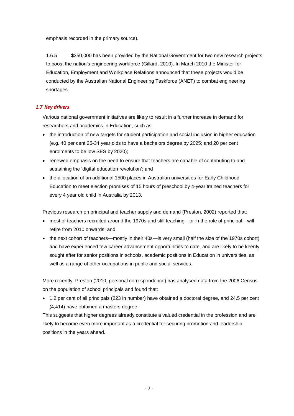emphasis recorded in the primary source).

1.6.5 \$350,000 has been provided by the National Government for two new research projects to boost the nation"s engineering workforce (Gillard, 2010). In March 2010 the Minister for Education, Employment and Workplace Relations announced that these projects would be conducted by the Australian National Engineering Taskforce (ANET) to combat engineering shortages.

# *1.7 Key drivers*

Various national government initiatives are likely to result in a further increase in demand for researchers and academics in Education, such as:

- the introduction of new targets for student participation and social inclusion in higher education (e.g. 40 per cent 25-34 year olds to have a bachelors degree by 2025; and 20 per cent enrolments to be low SES by 2020);
- renewed emphasis on the need to ensure that teachers are capable of contributing to and sustaining the "digital education revolution"; and
- the allocation of an additional 1500 places in Australian universities for Early Childhood Education to meet election promises of 15 hours of preschool by 4-year trained teachers for every 4 year old child in Australia by 2013.

Previous research on principal and teacher supply and demand (Preston, 2002) reported that:

- most of teachers recruited around the 1970s and still teaching—or in the role of principal—will retire from 2010 onwards; and
- the next cohort of teachers—mostly in their 40s—is very small (half the size of the 1970s cohort) and have experienced few career advancement opportunities to date, and are likely to be keenly sought after for senior positions in schools, academic positions in Education in universities, as well as a range of other occupations in public and social services.

More recently, Preston (2010, personal correspondence) has analysed data from the 2006 Census on the population of school principals and found that:

 1.2 per cent of all principals (223 in number) have obtained a doctoral degree, and 24.5 per cent (4,414) have obtained a masters degree.

This suggests that higher degrees already constitute a valued credential in the profession and are likely to become even more important as a credential for securing promotion and leadership positions in the years ahead.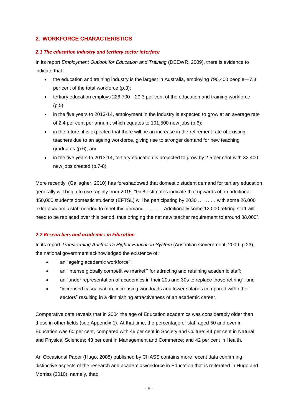# **2. WORKFORCE CHARACTERISTICS**

### *2.1 The education industry and tertiary sector interface*

In its report *Employment Outlook for Education and Training* (DEEWR, 2009), there is evidence to indicate that:

- the education and training industry is the largest in Australia, employing 790,400 people—7.3 per cent of the total workforce (p.3);
- tertiary education employs 226,700—29.3 per cent of the education and training workforce (p.5);
- in the five years to 2013-14, employment in the industry is expected to grow at an average rate of 2.4 per cent per annum, which equates to 101,500 new jobs (p.6);
- in the future, it is expected that there will be an increase in the retirement rate of existing teachers due to an ageing workforce, giving rise to stronger demand for new teaching graduates (p.6); and
- in the five years to 2013-14, tertiary education is projected to grow by 2.5 per cent with 32,400 new jobs created (p.7-8).

More recently, (Gallagher, 2010) has foreshadowed that domestic student demand for tertiary education generally will begin to rise rapidly from 2015. "Go8 estimates indicate that upwards of an additional 450,000 students domestic students (EFTSL) will be participating by 2030 … … … with some 26,000 extra academic staff needed to meet this demand … … … Additionally some 12,000 retiring staff will need to be replaced over this period, thus bringing the net new teacher requirement to around 38,000".

# *2.2 Researchers and academics in Education*

In its report *Transforming Australia's Higher Education System* (Australian Government, 2009, p.23), the national government acknowledged the existence of:

- an "ageing academic workforce";
- an "intense globally competitive market" for attracting and retaining academic staff;
- an "under representation of academics in their 20s and 30s to replace those retiring"; and
- "increased casualisation, increasing workloads and lower salaries compared with other sectors" resulting in a diminishing attractiveness of an academic career.

Comparative data reveals that in 2004 the age of Education academics was considerably older than those in other fields (see Appendix 1). At that time, the percentage of staff aged 50 and over in Education was 60 per cent, compared with 46 per cent in Society and Culture; 44 per cent in Natural and Physical Sciences; 43 per cent in Management and Commerce; and 42 per cent in Health.

An Occasional Paper (Hugo, 2008) published by CHASS contains more recent data confirming distinctive aspects of the research and academic workforce in Education that is reiterated in Hugo and Morriss (2010), namely, that: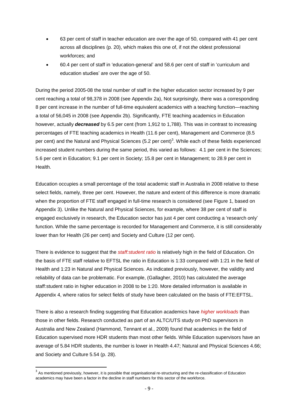- 63 per cent of staff in teacher education are over the age of 50, compared with 41 per cent across all disciplines (p. 20), which makes this one of, if not *the* oldest professional workforces; and
- 60.4 per cent of staff in "education-general" and 58.6 per cent of staff in "curriculum and education studies' are over the age of 50.

During the period 2005-08 the total number of staff in the higher education sector increased by 9 per cent reaching a total of 98,378 in 2008 (see Appendix 2a), Not surprisingly, there was a corresponding 8 per cent increase in the number of full-time equivalent academics with a teaching function—reaching a total of 56,045 in 2008 (see Appendix 2b). Significantly, FTE teaching academics in Education however, actually *decreased* by 6.5 per cent (from 1,912 to 1,788). This was in contrast to increasing percentages of FTE teaching academics in Health (11.6 per cent), Management and Commerce (8.5 per cent) and the Natural and Physical Sciences (5.2 per cent)<sup>3</sup>. While each of these fields experienced increased student numbers during the same period, this varied as follows: 4.1 per cent in the Sciences; 5.6 per cent in Education; 9.1 per cent in Society; 15.8 per cent in Management; to 28.9 per cent in Health.

Education occupies a small percentage of the total academic staff in Australia in 2008 relative to these select fields, namely, three per cent. However, the nature and extent of this difference is more dramatic when the proportion of FTE staff engaged in full-time research is considered (see Figure 1, based on Appendix 3). Unlike the Natural and Physical Sciences, for example, where 38 per cent of staff is engaged exclusively in research, the Education sector has just 4 per cent conducting a "research only" function. While the same percentage is recorded for Management and Commerce, it is still considerably lower than for Health (26 per cent) and Society and Culture (12 per cent).

There is evidence to suggest that the *staff: student ratio* is relatively high in the field of Education. On the basis of FTE staff relative to EFTSL the ratio in Education is 1:33 compared with 1:21 in the field of Health and 1:23 in Natural and Physical Sciences. As indicated previously, however, the validity and reliability of data can be problematic. For example, (Gallagher, 2010) has calculated the average staff:student ratio in higher education in 2008 to be 1:20. More detailed information is available in Appendix 4, where ratios for select fields of study have been calculated on the basis of FTE:EFTSL.

There is also a research finding suggesting that Education academics have *higher workloads* than those in other fields. Research conducted as part of an ALTC/UTS study on PhD supervisors in Australia and New Zealand (Hammond, Tennant et al., 2009) found that academics in the field of Education supervised more HDR students than most other fields. While Education supervisors have an average of 5.84 HDR students, the number is lower in Health 4.47; Natural and Physical Sciences 4.66; and Society and Culture 5.54 (p. 28).

 $\overline{a}$ 

 $3$  As mentioned previously, however, it is possible that organisational re-structuring and the re-classification of Education academics may have been a factor in the decline in staff numbers for this sector of the workforce.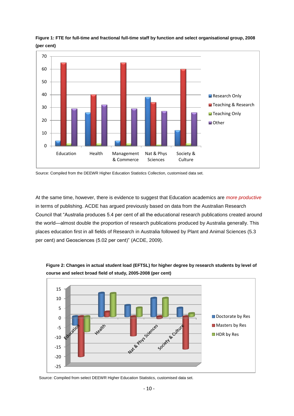

**Figure 1: FTE for full-time and fractional full-time staff by function and select organisational group, 2008 (per cent)**

Source: Compiled from the DEEWR Higher Education Statistics Collection, customised data set.

At the same time, however, there is evidence to suggest that Education academics are *more productive* in terms of publishing. ACDE has argued previously based on data from the Australian Research Council that "Australia produces 5.4 per cent of all the educational research publications created around the world—almost double the proportion of research publications produced by Australia generally. This places education first in all fields of Research in Australia followed by Plant and Animal Sciences (5.3 per cent) and Geosciences (5.02 per cent)" (ACDE, 2009).



**Figure 2: Changes in actual student load (EFTSL) for higher degree by research students by level of course and select broad field of study, 2005-2008 (per cent)**

Source: Compiled from select DEEWR Higher Education Statistics, customised data set.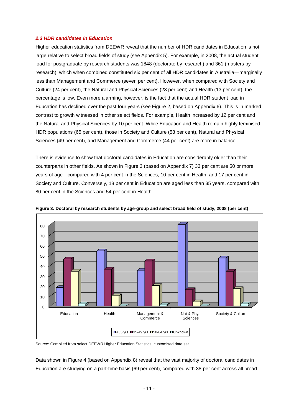### *2.3 HDR candidates in Education*

Higher education statistics from DEEWR reveal that the number of HDR candidates in Education is not large relative to select broad fields of study (see Appendix 5). For example, in 2008, the actual student load for postgraduate by research students was 1848 (doctorate by research) and 361 (masters by research), which when combined constituted six per cent of all HDR candidates in Australia—marginally less than Management and Commerce (seven per cent). However, when compared with Society and Culture (24 per cent), the Natural and Physical Sciences (23 per cent) and Health (13 per cent), the percentage is low. Even more alarming, however, is the fact that the actual HDR student load in Education has declined over the past four years (see Figure 2, based on Appendix 6). This is in marked contrast to growth witnessed in other select fields. For example, Health increased by 12 per cent and the Natural and Physical Sciences by 10 per cent. While Education and Health remain highly feminised HDR populations (65 per cent), those in Society and Culture (58 per cent), Natural and Physical Sciences (49 per cent), and Management and Commerce (44 per cent) are more in balance.

There is evidence to show that doctoral candidates in Education are considerably older than their counterparts in other fields. As shown in Figure 3 (based on Appendix 7) 33 per cent are 50 or more years of age—compared with 4 per cent in the Sciences, 10 per cent in Health, and 17 per cent in Society and Culture. Conversely, 18 per cent in Education are aged less than 35 years, compared with 80 per cent in the Sciences and 54 per cent in Health.



**Figure 3: Doctoral by research students by age-group and select broad field of study, 2008 (per cent)**

Source: Compiled from select DEEWR Higher Education Statistics, customised data set.

Data shown in Figure 4 (based on Appendix 8) reveal that the vast majority of doctoral candidates in Education are studying on a part-time basis (69 per cent), compared with 38 per cent across all broad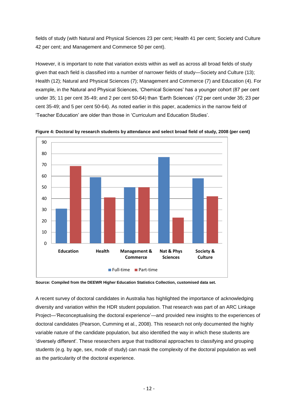fields of study (with Natural and Physical Sciences 23 per cent; Health 41 per cent; Society and Culture 42 per cent; and Management and Commerce 50 per cent).

However, it is important to note that variation exists within as well as across all broad fields of study given that each field is classified into a number of narrower fields of study—Society and Culture (13); Health (12); Natural and Physical Sciences (7); Management and Commerce (7) and Education (4). For example, in the Natural and Physical Sciences, "Chemical Sciences" has a younger cohort (87 per cent under 35; 11 per cent 35-49; and 2 per cent 50-64) than "Earth Sciences" (72 per cent under 35; 23 per cent 35-49; and 5 per cent 50-64). As noted earlier in this paper, academics in the narrow field of "Teacher Education" are older than those in "Curriculum and Education Studies".



**Figure 4: Doctoral by research students by attendance and select broad field of study, 2008 (per cent)**

**Source: Compiled from the DEEWR Higher Education Statistics Collection, customised data set.**

A recent survey of doctoral candidates in Australia has highlighted the importance of acknowledging diversity and variation within the HDR student population. That research was part of an ARC Linkage Project—"Reconceptualising the doctoral experience"—and provided new insights to the experiences of doctoral candidates (Pearson, Cumming et al., 2008). This research not only documented the highly variable nature of the candidate population, but also identified the way in which these students are "diversely different". These researchers argue that traditional approaches to classifying and grouping students (e.g. by age, sex, mode of study) can mask the complexity of the doctoral population as well as the particularity of the doctoral experience.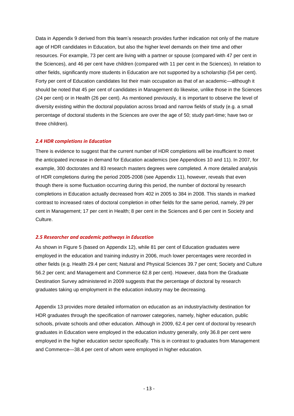Data in Appendix 9 derived from this team"s research provides further indication not only of the mature age of HDR candidates in Education, but also the higher level demands on their time and other resources. For example, 73 per cent are living with a partner or spouse (compared with 47 per cent in the Sciences), and 46 per cent have children (compared with 11 per cent in the Sciences). In relation to other fields, significantly more students in Education are not supported by a scholarship (54 per cent). Forty per cent of Education candidates list their main occupation as that of an academic—although it should be noted that 45 per cent of candidates in Management do likewise, unlike those in the Sciences (24 per cent) or in Health (26 per cent). As mentioned previously, it is important to observe the level of diversity existing within the doctoral population across broad and narrow fields of study (e.g. a small percentage of doctoral students in the Sciences are over the age of 50; study part-time; have two or three children).

### *2.4 HDR completions in Education*

There is evidence to suggest that the current number of HDR completions will be insufficient to meet the anticipated increase in demand for Education academics (see Appendices 10 and 11). In 2007, for example, 300 doctorates and 83 research masters degrees were completed. A more detailed analysis of HDR completions during the period 2005-2008 (see Appendix 11), however, reveals that even though there is some fluctuation occurring during this period, the number of doctoral by research completions in Education actually decreased from 402 in 2005 to 384 in 2008. This stands in marked contrast to increased rates of doctoral completion in other fields for the same period, namely, 29 per cent in Management; 17 per cent in Health; 8 per cent in the Sciences and 6 per cent in Society and Culture.

### *2.5 Researcher and academic pathways in Education*

As shown in Figure 5 (based on Appendix 12), while 81 per cent of Education graduates were employed in the education and training industry in 2006, much lower percentages were recorded in other fields (e.g. Health 29.4 per cent; Natural and Physical Sciences 39.7 per cent; Society and Culture 56.2 per cent; and Management and Commerce 62.8 per cent). However, data from the Graduate Destination Survey administered in 2009 suggests that the percentage of doctoral by research graduates taking up employment in the education industry may be decreasing.

Appendix 13 provides more detailed information on education as an industry/activity destination for HDR graduates through the specification of narrower categories, namely, higher education, public schools, private schools and other education. Although in 2009, 62.4 per cent of doctoral by research graduates in Education were employed in the education industry generally, only 36.8 per cent were employed in the higher education sector specifically. This is in contrast to graduates from Management and Commerce—38.4 per cent of whom were employed in higher education.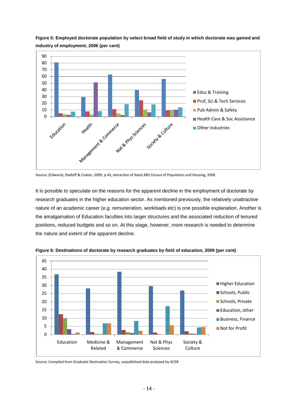

**Figure 5: Employed doctorate population by select broad field of study in which doctorate was gained and industry of employment, 2006 (per cent)**

Source: (Edwards, Radloff & Coates, 2009, p.43, extraction of data) ABS Census of Population and Housing, 2006

It is possible to speculate on the reasons for the apparent decline in the employment of doctorate by research graduates in the higher education sector. As mentioned previously, the relatively unattractive nature of an academic career (e.g. remuneration, workloads etc) is one possible explanation. Another is the amalgamation of Education faculties into larger structures and the associated reduction of tenured positions, reduced budgets and so on. At this stage, however, more research is needed to determine the nature and extent of the apparent decline.



**Figure 6: Destinations of doctorate by research graduates by field of education, 2009 (per cent)**

Source: Compiled from Graduate Destination Survey, unpublished data analysed by ACER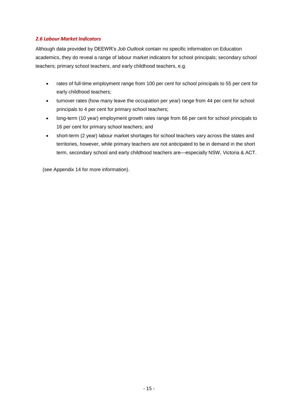### *2.6 Labour Market Indicators*

Although data provided by DEEWR"s *Job Outlook* contain no specific information on Education academics, they do reveal a range of labour market indicators for school principals; secondary school teachers; primary school teachers, and early childhood teachers, e.g.

- rates of full-time employment range from 100 per cent for school principals to 55 per cent for early childhood teachers;
- turnover rates (how many leave the occupation per year) range from 44 per cent for school principals to 4 per cent for primary school teachers;
- long-term (10 year) employment growth rates range from 66 per cent for school principals to 16 per cent for primary school teachers; and
- short-term (2 year) labour market shortages for school teachers vary across the states and territories, however, while primary teachers are not anticipated to be in demand in the short term, secondary school and early childhood teachers are—especially NSW, Victoria & ACT.

(see Appendix 14 for more information).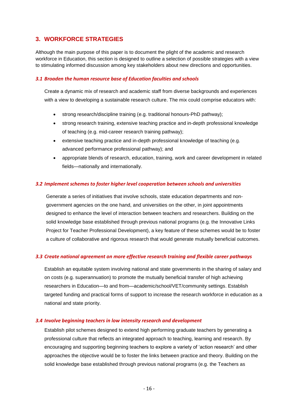# **3. WORKFORCE STRATEGIES**

Although the main purpose of this paper is to document the plight of the academic and research workforce in Education, this section is designed to outline a selection of possible strategies with a view to stimulating informed discussion among key stakeholders about new directions and opportunities.

### *3.1 Broaden the human resource base of Education faculties and schools*

Create a dynamic mix of research and academic staff from diverse backgrounds and experiences with a view to developing a sustainable research culture. The mix could comprise educators with:

- strong research/discipline training (e.g. traditional honours-PhD pathway);
- strong research training, extensive teaching practice and in-depth professional knowledge of teaching (e.g. mid-career research training pathway);
- extensive teaching practice and in-depth professional knowledge of teaching (e.g. advanced performance professional pathway); and
- appropriate blends of research, education, training, work and career development in related fields—nationally and internationally.

### *3.2 Implement schemes to foster higher level cooperation between schools and universities*

Generate a series of initiatives that involve schools, state education departments and nongovernment agencies on the one hand, and universities on the other, in joint appointments designed to enhance the level of interaction between teachers and researchers. Building on the solid knowledge base established through previous national programs (e.g. the Innovative Links Project for Teacher Professional Development), a key feature of these schemes would be to foster a culture of collaborative and rigorous research that would generate mutually beneficial outcomes.

# *3.3 Create national agreement on more effective research training and flexible career pathways*

Establish an equitable system involving national and state governments in the sharing of salary and on costs (e.g. superannuation) to promote the mutually beneficial transfer of high achieving researchers in Education—to and from—academic/school/VET/community settings. Establish targeted funding and practical forms of support to increase the research workforce in education as a national and state priority.

### *3.4 Involve beginning teachers in low intensity research and development*

Establish pilot schemes designed to extend high performing graduate teachers by generating a professional culture that reflects an integrated approach to teaching, learning and research. By encouraging and supporting beginning teachers to explore a variety of "action research" and other approaches the objective would be to foster the links between practice and theory. Building on the solid knowledge base established through previous national programs (e.g. the Teachers as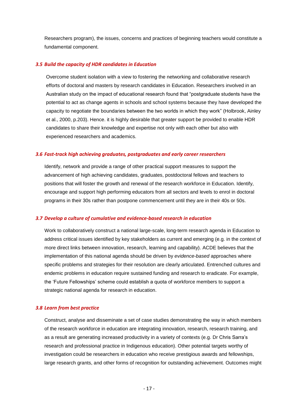Researchers program), the issues, concerns and practices of beginning teachers would constitute a fundamental component.

### *3.5 Build the capacity of HDR candidates in Education*

Overcome student isolation with a view to fostering the networking and collaborative research efforts of doctoral and masters by research candidates in Education. Researchers involved in an Australian study on the impact of educational research found that "postgraduate students have the potential to act as change agents in schools and school systems because they have developed the capacity to negotiate the boundaries between the two worlds in which they work" (Holbrook, Ainley et al., 2000, p.203). Hence. it is highly desirable that greater support be provided to enable HDR candidates to share their knowledge and expertise not only with each other but also with experienced researchers and academics.

### *3.6 Fast-track high achieving graduates, postgraduates and early career researchers*

Identify, network and provide a range of other practical support measures to support the advancement of high achieving candidates, graduates, postdoctoral fellows and teachers to positions that will foster the growth and renewal of the research workforce in Education. Identify, encourage and support high performing educators from all sectors and levels to enrol in doctoral programs in their 30s rather than postpone commencement until they are in their 40s or 50s.

#### *3.7 Develop a culture of cumulative and evidence-based research in education*

Work to collaboratively construct a national large-scale, long-term research agenda in Education to address critical issues identified by key stakeholders as current and emerging (e.g. in the context of more direct links between innovation, research, learning and capability). ACDE believes that the implementation of this national agenda should be driven by *evidence-based* approaches where specific problems and strategies for their resolution are clearly articulated. Entrenched cultures and endemic problems in education require sustained funding and research to eradicate. For example, the "Future Fellowships" scheme could establish a quota of workforce members to support a strategic national agenda for research in education.

### *3.8 Learn from best practice*

Construct, analyse and disseminate a set of case studies demonstrating the way in which members of the research workforce in education are integrating innovation, research, research training, and as a result are generating increased productivity in a variety of contexts (e.g. Dr Chris Sarra"s research and professional practice in Indigenous education). Other potential targets worthy of investigation could be researchers in education who receive prestigious awards and fellowships, large research grants, and other forms of recognition for outstanding achievement. Outcomes might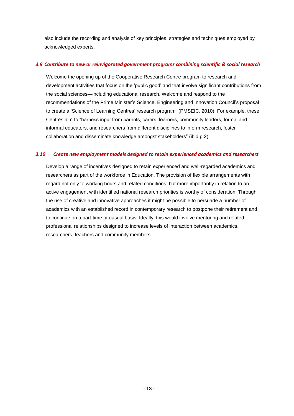also include the recording and analysis of key principles, strategies and techniques employed by acknowledged experts.

### *3.9 Contribute to new or reinvigorated government programs combining scientific & social research*

Welcome the opening up of the Cooperative Research Centre program to research and development activities that focus on the "public good" and that involve significant contributions from the social sciences—including educational research. Welcome and respond to the recommendations of the Prime Minister"s Science, Engineering and Innovation Council"s proposal to create a "Science of Learning Centres" research program (PMSEIC, 2010). For example, these Centres aim to "harness input from parents, carers, learners, community leaders, formal and informal educators, and researchers from different disciplines to inform research, foster collaboration and disseminate knowledge amongst stakeholders" (ibid p.2).

# *3.10 Create new employment models designed to retain experienced academics and researchers*

Develop a range of incentives designed to retain experienced and well-regarded academics and researchers as part of the workforce in Education. The provision of flexible arrangements with regard not only to working hours and related conditions, but more importantly in relation to an active engagement with identified national research priorities is worthy of consideration. Through the use of creative and innovative approaches it might be possible to persuade a number of academics with an established record in contemporary research to postpone their retirement and to continue on a part-time or casual basis. Ideally, this would involve mentoring and related professional relationships designed to increase levels of interaction between academics, researchers, teachers and community members.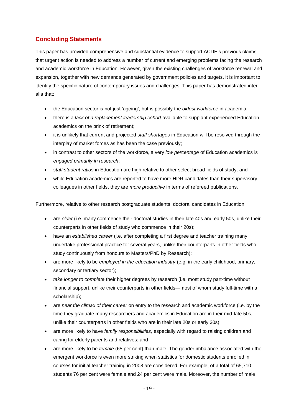# **Concluding Statements**

This paper has provided comprehensive and substantial evidence to support ACDE"s previous claims that urgent action is needed to address a number of current and emerging problems facing the research and academic workforce in Education. However, given the existing challenges of workforce renewal and expansion, together with new demands generated by government policies and targets, it is important to identify the specific nature of contemporary issues and challenges. This paper has demonstrated inter alia that:

- the Education sector is not just "ageing", but is possibly the *oldest workforce* in academia;
- there is a *lack of a replacement leadership cohort* available to supplant experienced Education academics on the brink of retirement;
- it is unlikely that current and projected *staff shortages* in Education will be resolved through the interplay of market forces as has been the case previously;
- in contrast to other sectors of the workforce, a very *low percentage* of Education academics is *engaged primarily in research*;
- *staff:student ratios* in Education are high relative to other select broad fields of study; and
- while Education academics are reported to have more HDR candidates than their supervisory colleagues in other fields, they are *more productive* in terms of refereed publications.

Furthermore, relative to other research postgraduate students, doctoral candidates in Education:

- are *older* (i.e. many commence their doctoral studies in their late 40s and early 50s, unlike their counterparts in other fields of study who commence in their 20s);
- have an *established career* (i.e. after completing a first degree and teacher training many undertake professional practice for several years, unlike their counterparts in other fields who study continuously from honours to Masters/PhD by Research);
- are more likely to be *employed in the education industry* (e.g. in the early childhood, primary, secondary or tertiary sector);
- *take longer to complete* their higher degrees by research (i.e. most study part-time without financial support, unlike their counterparts in other fields—most of whom study full-time with a scholarship);
- are *near the climax of their career* on entry to the research and academic workforce (i.e. by the time they graduate many researchers and academics in Education are in their mid-late 50s, unlike their counterparts in other fields who are in their late 20s or early 30s);
- are more likely to have *family responsibilities*, especially with regard to raising children and caring for elderly parents and relatives; and
- are more likely to be *female* (65 per cent) than male. The gender imbalance associated with the emergent workforce is even more striking when statistics for domestic students enrolled in courses for initial teacher training in 2008 are considered. For example, of a total of 65,710 students 76 per cent were female and 24 per cent were male. Moreover, the number of male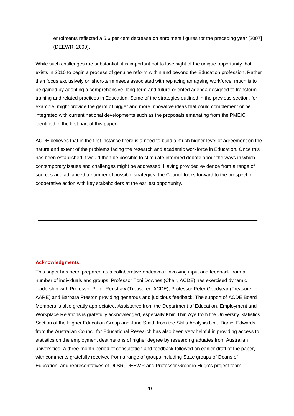enrolments reflected a 5.6 per cent decrease on enrolment figures for the preceding year [2007] (DEEWR, 2009).

While such challenges are substantial, it is important not to lose sight of the unique opportunity that exists in 2010 to begin a process of genuine reform within and beyond the Education profession. Rather than focus exclusively on short-term needs associated with replacing an ageing workforce, much is to be gained by adopting a comprehensive, long-term and future-oriented agenda designed to transform training and related practices in Education. Some of the strategies outlined in the previous section, for example, might provide the germ of bigger and more innovative ideas that could complement or be integrated with current national developments such as the proposals emanating from the PMEIC identified in the first part of this paper.

ACDE believes that in the first instance there is a need to build a much higher level of agreement on the nature and extent of the problems facing the research and academic workforce in Education. Once this has been established it would then be possible to stimulate informed debate about the ways in which contemporary issues and challenges might be addressed. Having provided evidence from a range of sources and advanced a number of possible strategies, the Council looks forward to the prospect of cooperative action with key stakeholders at the earliest opportunity.

### **Acknowledgments**

This paper has been prepared as a collaborative endeavour involving input and feedback from a number of individuals and groups. Professor Toni Downes (Chair, ACDE) has exercised dynamic leadership with Professor Peter Renshaw (Treasurer, ACDE), Professor Peter Goodyear (Treasurer, AARE) and Barbara Preston providing generous and judicious feedback. The support of ACDE Board Members is also greatly appreciated. Assistance from the Department of Education, Employment and Workplace Relations is gratefully acknowledged, especially Khin Thin Aye from the University Statistics Section of the Higher Education Group and Jane Smith from the Skills Analysis Unit. Daniel Edwards from the Australian Council for Educational Research has also been very helpful in providing access to statistics on the employment destinations of higher degree by research graduates from Australian universities. A three-month period of consultation and feedback followed an earlier draft of the paper, with comments gratefully received from a range of groups including State groups of Deans of Education, and representatives of DIISR, DEEWR and Professor Graeme Hugo"s project team.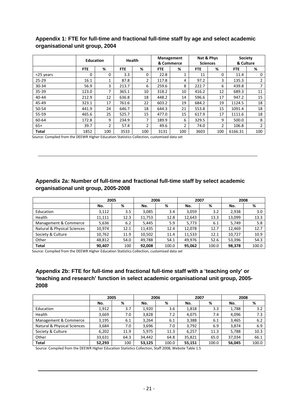# **Appendix 1: FTE for full-time and fractional full-time staff by age and select academic organisational unit group, 2004**

|              | <b>Education</b> |     | <b>Health</b> |          | Management<br>& Commerce |     | Nat & Phys<br><b>Sciences</b> |                | <b>Society</b><br>& Culture |     |
|--------------|------------------|-----|---------------|----------|--------------------------|-----|-------------------------------|----------------|-----------------------------|-----|
|              | <b>FTE</b>       | %   | <b>FTE</b>    | %        | <b>FTE</b>               | %   | <b>FTE</b>                    | %              | <b>FTE</b>                  | %   |
| <25 years    | 0                | 0   | 3.3           | $\Omega$ | 22.8                     |     | 11                            | $\Omega$       | 11.4                        | 0   |
| $25 - 29$    | 16.1             | 1   | 87.8          | 2        | 117.8                    | 4   | 97.2                          | 3              | 135.3                       |     |
| $30 - 34$    | 56.9             | 3   | 213.7         | 6        | 259.6                    | 8   | 222.7                         | 6              | 439.8                       |     |
| $35 - 39$    | 123.0            | 7   | 365.1         | 10       | 318.2                    | 10  | 416.2                         | 12             | 689.3                       | 11  |
| $40 - 44$    | 212.9            | 12  | 636.8         | 18       | 448.2                    | 14  | 596.6                         | 17             | 947.2                       | 15  |
| 45-49        | 323.1            | 17  | 761.6         | 22       | 603.2                    | 19  | 684.2                         | 19             | 1124.5                      | 18  |
| 50-54        | 441.9            | 24  | 646.7         | 18       | 644.3                    | 21  | 553.8                         | 15             | 1091.4                      | 18  |
| 55-59        | 465.6            | 25  | 525.7         | 15       | 477.0                    | 15  | 617.9                         | 17             | 1111.6                      | 18  |
| 60-64        | 172.8            | 9   | 234.9         | 7        | 189.9                    | 6   | 329.5                         | 9              | 500.0                       | 8   |
| $65+$        | 39.7             | 2   | 57.4          | 2        | 49.6                     | 2   | 74.0                          | $\overline{2}$ | 106.8                       | 2   |
| <b>Total</b> | 1852             | 100 | 3533          | 100      | 3131                     | 100 | 3603                          | 100            | 6166.31                     | 100 |

Source: Compiled from the DEEWR Higher Education Statistics Collection, customised data set

# **Appendix 2a: Number of full-time and fractional full-time staff by select academic organisational unit group, 2005-2008**

|                             | 2005   |      |        | 2006  | 2007   |       | 2008   |       |
|-----------------------------|--------|------|--------|-------|--------|-------|--------|-------|
|                             | No.    | %    | No.    | %     | No.    | %     | No.    | %     |
| Education                   | 3,112  | 3.5  | 3,085  | 3.4   | 3,059  | 3.2   | 2,938  | 3.0   |
| Health                      | 11.111 | 12.3 | 11,753 | 12.8  | 12,643 | 13.3  | 13,099 | 13.3  |
| Management & Commerce       | 5,636  | 6.2  | 5.445  | 5.9   | 5,773  | 6.1   | 5,749  | 5.8   |
| Natural & Physical Sciences | 10.974 | 12.1 | 11,435 | 12.4  | 12,078 | 12.7  | 12.469 | 12.7  |
| Society & Culture           | 10,762 | 11.9 | 10,502 | 11.4  | 11,533 | 12.1  | 10.727 | 10.9  |
| Other                       | 48.812 | 54.0 | 49,788 | 54.1  | 49.976 | 52.6  | 53,396 | 54.3  |
| <b>Total</b>                | 90,407 | 100  | 92,008 | 100.0 | 95,062 | 100.0 | 98,378 | 100.0 |

Source: Compiled from the DEEWR Higher Education Statistics Collection, customised data set

# **Appendix 2b: FTE for full-time and fractional full-time staff with a 'teaching only' or 'teaching and research' function in select academic organisational unit group, 2005- 2008**

|                                        | 2005   |      |        | 2006  | 2007   |       |        | 2008  |
|----------------------------------------|--------|------|--------|-------|--------|-------|--------|-------|
|                                        | No.    | %    | No.    | %     | No.    | %     | No.    | %     |
| Education                              | 1,912  | 3.7  | 1,920  | 3.6   | 1,818  | 3.3   | 1,788  | 3.2   |
| Health                                 | 3,669  | 7.0  | 3,828  | 7.2   | 4,075  | 7.4   | 4,096  | 7.3   |
| Management & Commerce                  | 3,195  | 6.1  | 3,264  | 6.1   | 3,388  | 6.1   | 3,465  | 6.2   |
| <b>Natural &amp; Physical Sciences</b> | 3,684  | 7.0  | 3,696  | 7.0   | 3,792  | 6.9   | 3,874  | 6.9   |
| Society & Culture                      | 6,202  | 11.9 | 5,975  | 11.3  | 6,257  | 11.3  | 5,788  | 10.3  |
| Other                                  | 33,631 | 64.3 | 34,442 | 64.8  | 35,821 | 65.0  | 37,034 | 66.1  |
| <b>Total</b>                           | 52,293 | 100  | 53,125 | 100.0 | 55,151 | 100.0 | 56,045 | 100.0 |

Source: Compiled from the DEEWR Higher Education Statistics Collection, Staff 2008, Website Table 1.5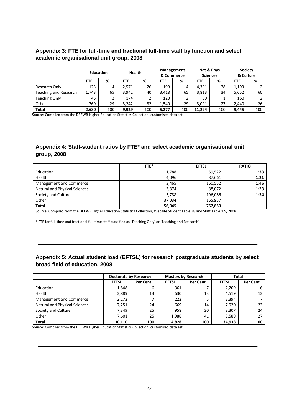# **Appendix 3: FTE for full-time and fractional full-time staff by function and select academic organisational unit group, 2008**

|                       | <b>Education</b> |     | Health     |     | Management<br>& Commerce |     | Nat & Phys<br><b>Sciences</b> |     | <b>Society</b><br>& Culture |     |
|-----------------------|------------------|-----|------------|-----|--------------------------|-----|-------------------------------|-----|-----------------------------|-----|
|                       | <b>FTE</b>       | %   | <b>FTE</b> | %   | <b>FTE</b>               | %   | FTE                           | %   | <b>FTE</b>                  | %   |
| Research Only         | 123              | 4   | 2.571      | 26  | 199                      | 4   | 4.301                         | 38  | 1,193                       | 12  |
| Teaching and Research | 1.743            | 65  | 3.942      | 40  | 3.418                    | 65  | 3,813                         | 34  | 5,652                       | 60  |
| <b>Teaching Only</b>  | 45               |     | 174        |     | 120                      |     | 89                            |     | 160                         |     |
| Other                 | 769              | 29  | 3.242      | 32  | 1,540                    | 29  | 3,091                         | 27  | 2,440                       | 26  |
| <b>Total</b>          | 2,680            | 100 | 9.929      | 100 | 5,277                    | 100 | 11.294                        | 100 | 9.445                       | 100 |

Source: Compiled from the DEEWR Higher Education Statistics Collection, customised data set

# **Appendix 4: Staff-student ratios by FTE\* and select academic organisational unit group, 2008**

|                                      | FTE*   | <b>EFTSL</b> | <b>RATIO</b> |
|--------------------------------------|--------|--------------|--------------|
| Education                            | 1,788  | 59,522       | 1:33         |
| Health                               | 4,096  | 87,661       | 1:21         |
| Management and Commerce              | 3,465  | 160,552      | 1:46         |
| <b>Natural and Physical Sciences</b> | 3,874  | 88,072       | 1:23         |
| Society and Culture                  | 5,788  | 196,086      | 1:34         |
| Other                                | 37.034 | 165,957      |              |
| <b>Total</b>                         | 56,045 | 757,850      |              |

Source: Compiled from the DEEWR Higher Education Statistics Collection, Website Student Table 38 and Staff Table 1.5, 2008

\* FTE for full-time and fractional full-time staff classified as 'Teaching Only' or 'Teaching and Research'

# **Appendix 5: Actual student load (EFTSL) for research postgraduate students by select broad field of education, 2008**

|                               |              | Doctorate by Research |              | <b>Masters by Research</b> |              | Total    |
|-------------------------------|--------------|-----------------------|--------------|----------------------------|--------------|----------|
|                               | <b>EFTSL</b> | Per Cent              | <b>EFTSL</b> | Per Cent                   | <b>EFTSL</b> | Per Cent |
| Education                     | 1,848        | 6                     | 361          |                            | 2,209        | 6        |
| Health                        | 3,889        | 13                    | 630          | 13                         | 4.519        | 13       |
| Management and Commerce       | 2,172        |                       | 222          |                            | 2.394        |          |
| Natural and Physical Sciences | 7.251        | 24                    | 669          | 14                         | 7.920        | 23       |
| Society and Culture           | 7,349        | 25                    | 958          | 20                         | 8,307        | 24       |
| Other                         | 7,601        | 25                    | 1,988        | 41                         | 9.589        | 27       |
| <b>Total</b>                  | 30,110       | 100                   | 4,828        | 100                        | 34,938       | 100      |

Source: Compiled from the DEEWR Higher Education Statistics Collection, customised data set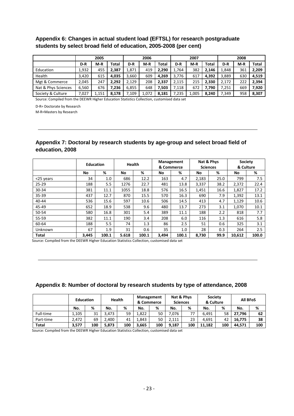# **Appendix 6: Changes in actual student load (EFTSL) for research postgraduate students by select broad field of education, 2005-2008 (per cent)**

|                     |       | 2005  |       |        | 2006  |       |       | 2007  |       | 2008  |       |              |
|---------------------|-------|-------|-------|--------|-------|-------|-------|-------|-------|-------|-------|--------------|
|                     | D-R   | $M-R$ | Total | D-R    | $M-R$ | Total | D-R   | $M-R$ | Total | D-R   | $M-R$ | <b>Total</b> |
| Education           | 1.932 | 455   | 2.387 | 1.871  | 419   | 2.290 | 1.764 | 382   | 2.146 | 1,848 | 361   | 2.209        |
| Health              | 3.420 | 615   | 4.035 | 3.660  | 609   | 4.269 | 3.776 | 617   | 4.392 | 3.889 | 630   | 4.519        |
| Mgt & Commerce      | 2,045 | 247   | 2.292 | 2.129  | 208   | 2.337 | 2.115 | 215   | 2.330 | 2.172 | 222   | 2.394        |
| Nat & Phys Sciences | 6,560 | 676   | 7.236 | 6.855  | 648   | 7.503 | 7.118 | 672   | 7.790 | 7.251 | 669   | 7.920        |
| Society & Culture   | 7,027 | 1,151 | 8.178 | 109، / | 1.072 | 8.181 | 7.235 | 1,005 | 8.240 | 7,349 | 958   | 8.307        |

Source: Compiled from the DEEWR Higher Education Statistics Collection, customised data set

D-R= Doctorate by Research

M-R=Masters by Research

# **Appendix 7: Doctoral by research students by age-group and select broad field of education, 2008**

|           | <b>Education</b> |       |       | <b>Health</b> |       | Management<br>& Commerce | Nat & Phys<br><b>Sciences</b> |      | <b>Society</b><br>& Culture |       |
|-----------|------------------|-------|-------|---------------|-------|--------------------------|-------------------------------|------|-----------------------------|-------|
|           | No               | %     | No    | %             | No    | %                        | No                            | %    | No                          | %     |
| <25 years | 34               | 1.0   | 686   | 12.2          | 163   | 4.7                      | 2,183                         | 25.0 | 799                         | 7.5   |
| $25 - 29$ | 188              | 5.5   | 1276  | 22.7          | 481   | 13.8                     | 3,337                         | 38.2 | 2,372                       | 22.4  |
| 30-34     | 381              | 11.1  | 1055  | 18.8          | 576   | 16.5                     | 1,451                         | 16.6 | 1,827                       | 17.2  |
| 35-39     | 437              | 12.7  | 870   | 15.5          | 570   | 16.3                     | 690                           | 7.9  | 1,392                       | 13.1  |
| $40 - 44$ | 536              | 15.6  | 597   | 10.6          | 506   | 14.5                     | 413                           | 4.7  | 1,129                       | 10.6  |
| 45-49     | 652              | 18.9  | 538   | 9.6           | 480   | 13.7                     | 273                           | 3.1  | 1,070                       | 10.1  |
| 50-54     | 580              | 16.8  | 301   | 5.4           | 389   | 11.1                     | 188                           | 2.2  | 818                         | 7.7   |
| 55-59     | 382              | 11.1  | 190   | 3.4           | 208   | 6.0                      | 116                           | 1.3  | 616                         | 5.8   |
| 60-64     | 188              | 5.5   | 74    | 1.3           | 86    | 2.5                      | 51                            | 0.6  | 325                         | 3.1   |
| Unknown   | 67               | 1.9   | 31    | 0.6           | 35    | $1.0\,$                  | 28                            | 0.3  | 264                         | 2.5   |
| Total     | 3,445            | 100.1 | 5.618 | 100.1         | 3,494 | 100.1                    | 8,730                         | 99.9 | 10,612                      | 100.0 |

Source: Compiled from the DEEWR Higher Education Statistics Collection, customised data set

### **Appendix 8: Number of doctoral by research students by type of attendance, 2008**

|              | <b>Education</b> |     |       | <b>Health</b> | Management | & Commerce | Nat & Phys<br><b>Sciences</b> |     | <b>Society</b><br>& Culture |     | <b>All BFoS</b> |     |
|--------------|------------------|-----|-------|---------------|------------|------------|-------------------------------|-----|-----------------------------|-----|-----------------|-----|
|              | No.              | %   | No.   | %             | No.        | %          | No.                           | %   | No.                         | %   | No.             | %   |
| Full-time    | 1.105            | 31  | 3.473 | 59            | 1.822      | 50         | .076                          | 77  | 6.491                       | 58  | 27.796          | 62  |
| Part-time    | 2.472            | 69  | 2.400 | 41            | 1.843      | 50         | 2.111                         | 23  | 4.691                       | 42  | 16.775          | 38  |
| <b>Total</b> | 3.577            | 100 | 5.873 | 100           | 3,665      | 100        | 9.187                         | 100 | 11.182                      | 100 | 44.571          | 100 |

Source: Compiled from the DEEWR Higher Education Statistics Collection, customised data set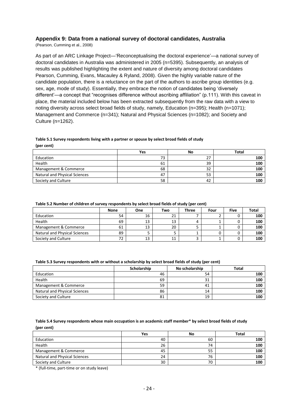### **Appendix 9: Data from a national survey of doctoral candidates, Australia**

(Pearson, Cumming et al., 2008)

As part of an ARC Linkage Project—"Reconceptualising the doctoral experience"—a national survey of doctoral candidates in Australia was administered in 2005 (n=5395). Subsequently, an analysis of results was published highlighting the extent and nature of diversity among doctoral candidates Pearson, Cumming, Evans, Macauley & Ryland, 2008). Given the highly variable nature of the candidate population, there is a reluctance on the part of the authors to ascribe group identities (e.g. sex, age, mode of study). Essentially, they embrace the notion of candidates being "diversely different"—a concept that "recognises difference without ascribing affiliation" (p.111). With this caveat in place, the material included below has been extracted subsequently from the raw data with a view to noting diversity across select broad fields of study, namely, Education (n=395); Health (n=1071); Management and Commerce (n=341); Natural and Physical Sciences (n=1082); and Society and Culture (n=1262).

#### **Table 5.1 Survey respondents living with a partner or spouse by select broad fields of study (per cent)**

|                               | Yes | No | Total |
|-------------------------------|-----|----|-------|
| Education                     | 73  | 27 | 100   |
| Health                        | 61  | 39 | 100   |
| Management & Commerce         | 68  | 32 | 100   |
| Natural and Physical Sciences | 47  | 53 | 100   |
| Society and Culture           | 58  | 42 | 100   |

#### **Table 5.2 Number of children of survey respondents by select broad fields of study (per cent)**

|                                      | <b>None</b> | <b>One</b> | Two | <b>Three</b> | Four | <b>Five</b> | <b>Total</b> |
|--------------------------------------|-------------|------------|-----|--------------|------|-------------|--------------|
| Education                            | 54          | 16         |     |              |      |             | 100          |
| Health                               | 69          | 13         | 13  |              |      |             | 100          |
| Management & Commerce                | 61          | 13         | 20  |              |      |             | 100          |
| <b>Natural and Physical Sciences</b> | 89          |            |     |              |      |             | 100          |
| Society and Culture                  | 72          | 13         |     |              |      |             | 100          |

#### **Table 5.3 Survey respondents with or without a scholarship by select broad fields of study (per cent)**

|                                      | Scholarship | No scholarship | <b>Total</b> |
|--------------------------------------|-------------|----------------|--------------|
| Education                            | 46          | 54             | 100          |
| Health                               | 69          | 31             | 100          |
| Management & Commerce                | 59          | 41             | 100          |
| <b>Natural and Physical Sciences</b> | 86          | 14             | 100          |
| Society and Culture                  | 81          | 19             | 100          |

#### **Table 5.4 Survey respondents whose main occupation is an academic staff member\* by select broad fields of study (per cent)**

|                                      | Yes | No | <b>Total</b> |
|--------------------------------------|-----|----|--------------|
| Education                            | 40  | 60 | 100          |
| Health                               | 26  | 74 | 100          |
| Management & Commerce                | 45  | 55 | 100          |
| <b>Natural and Physical Sciences</b> | 24  | 76 | 100          |
| Society and Culture                  | 30  | 70 | 100          |

\* (full-time, part-time or on study leave)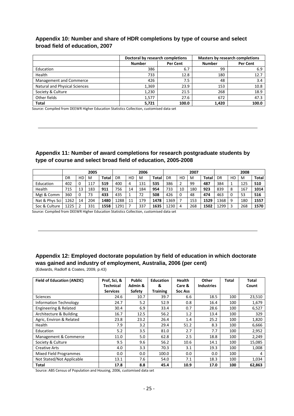# **Appendix 10: Number and share of HDR completions by type of course and select broad field of education, 2007**

|                                      | Doctoral by research completions |          | <b>Masters by research completions</b> |          |  |  |
|--------------------------------------|----------------------------------|----------|----------------------------------------|----------|--|--|
|                                      | <b>Number</b>                    | Per Cent | <b>Number</b>                          | Per Cent |  |  |
| Education                            | 386                              | 6.7      | 99                                     | 6.9      |  |  |
| Health                               | 733                              | 12.8     | 180                                    | 12.7     |  |  |
| Management and Commerce              | 426                              | 7.5      | 48                                     | 3.4      |  |  |
| <b>Natural and Physical Sciences</b> | 1.369                            | 23.9     | 153                                    | 10.8     |  |  |
| Society & Culture                    | 1,230                            | 21.5     | 268                                    | 18.9     |  |  |
| Other fields                         | 1.577                            | 27.6     | 672                                    | 47.3     |  |  |
| <b>Total</b>                         | 5,721                            | 100.0    | 1,420                                  | 100.0    |  |  |

Source: Compiled from DEEWR Higher Education Statistics Collection, customised data set

# **Appendix 11: Number of award completions for research postgraduate students by type of course and select broad field of education, 2005-2008**

|                | 2005 |    |     |              | 2006 |    |     | 2007  |      |    | 2008 |       |      |    |     |              |
|----------------|------|----|-----|--------------|------|----|-----|-------|------|----|------|-------|------|----|-----|--------------|
|                | DR   | HD | M   | <b>Total</b> | DR   | HD | M   | Total | DR   | HD | м    | Total | DR   | HD | M   | <b>Total</b> |
| Education      | 402  |    | 117 | 519          | 400  | 4  | 131 | 535   | 386  |    | 99   | 487   | 384  |    | 125 | 510          |
| Health         | 715  | 13 | 183 | 911          | 756  | 14 | 184 | 954   | 733  | 10 | 180  | 923   | 839  | 8  | 167 | 1014         |
| Mgt & Comm     | 360  | 0  | 73  | 433          | 435  |    | 72  | 508   | 426  |    | 48   | 474   | 463  | 0  | 53  | 516          |
| Nat & Phys Sci | 1262 | 14 | 204 | 1480         | 1288 | 11 | 179 | 1478  | 1369 |    | 153  | 1529  | 1368 | 9  | 180 | 1557         |
| Soc & Culture  | 1225 |    | 331 | 1558         | 1291 |    | 337 | 1635  | 1230 | 4  | 268  | 1502  | 1299 | 3  | 268 | 1570         |

Source: Compiled from DEEWR Higher Education Statistics Collection, customised data set

# **Appendix 12: Employed doctorate population by field of education in which doctorate was gained and industry of employment, Australia, 2006 (per cent)**

(Edwards, Radloff & Coates, 2009, p.43)

| <b>Field of Education (ANZIC)</b> | Prof, Sci, &<br><b>Technical</b> | <b>Public</b><br>Admin & | <b>Education</b><br>& | <b>Health</b><br>Care & | Other<br><b>Industries</b> | Total | Total<br>Count |
|-----------------------------------|----------------------------------|--------------------------|-----------------------|-------------------------|----------------------------|-------|----------------|
|                                   | <b>Services</b>                  | Safety                   | <b>Training</b>       | <b>Soc Ass</b>          |                            |       |                |
| <b>Sciences</b>                   | 24.6                             | 10.7                     | 39.7                  | 6.6                     | 18.5                       | 100   | 23,510         |
| <b>Information Technology</b>     | 24.7                             | 5.2                      | 52.9                  | 0.8                     | 16.4                       | 100   | 1,679          |
| Engineering & Related             | 30.4                             | 6.9                      | 33.4                  | 0.7                     | 28.6                       | 100   | 6,527          |
| Architecture & Building           | 16.7                             | 12.5                     | 56.2                  | 1.2                     | 13.4                       | 100   | 329            |
| Agric, Environ & Related          | 23.8                             | 23.2                     | 26.4                  | 1.4                     | 25.2                       | 100   | 1,820          |
| Health                            | 7.9                              | 3.2                      | 29.4                  | 51.2                    | 8.3                        | 100   | 6,666          |
| Education                         | 5.2                              | 3.5                      | 81.0                  | 2.7                     | 7.7                        | 100   | 2,952          |
| Management & Commerce             | 11.0                             | 5.0                      | 62.8                  | 2.5                     | 18.8                       | 100   | 2,249          |
| Society & Culture                 | 9.5                              | 9.6                      | 56.2                  | 10.6                    | 14.1                       | 100   | 15,085         |
| <b>Creative Arts</b>              | 4.0                              | 3.3                      | 70.3                  | 3.1                     | 19.3                       | 100   | 1,008          |
| Mixed Field Programmes            | 0.0                              | 0.0                      | 100.0                 | 0.0                     | 0.0                        | 100   | 4              |
| Not Stated/Not Applicable         | 13.1                             | 7.6                      | 54.0                  | 7.1                     | 18.3                       | 100   | 1,034          |
| Total                             | 17.8                             | 8.8                      | 45.4                  | 10.9                    | 17.0                       | 100   | 62,863         |

Source: ABS Census of Population and Housing, 2006, customised data set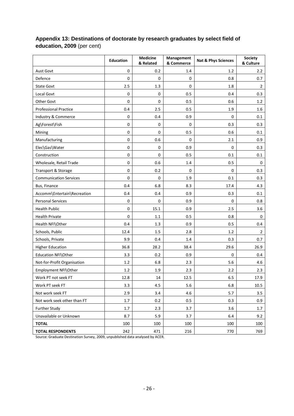|                               | Education   | <b>Medicine</b><br>& Related | Management<br>& Commerce | Nat & Phys Sciences | <b>Society</b><br>& Culture |
|-------------------------------|-------------|------------------------------|--------------------------|---------------------|-----------------------------|
| Aust Govt                     | $\mathbf 0$ | 0.2                          | 1.4                      | 1.2                 | 2.2                         |
| Defence                       | 0           | $\mathbf 0$                  | 0                        | 0.8                 | 0.7                         |
| <b>State Govt</b>             | 2.5         | 1.3                          | $\pmb{0}$                | 1.8                 | $\overline{2}$              |
| Local Govt                    | 0           | 0                            | 0.5                      | 0.4                 | 0.3                         |
| Other Govt                    | 0           | 0                            | 0.5                      | 0.6                 | 1.2                         |
| <b>Professional Practice</b>  | 0.4         | 2.5                          | 0.5                      | 1.9                 | 1.6                         |
| Industry & Commerce           | 0           | 0.4                          | 0.9                      | $\pmb{0}$           | 0.1                         |
| Ag\Forest\Fish                | 0           | $\pmb{0}$                    | $\pmb{0}$                | 0.3                 | 0.3                         |
| Mining                        | $\pmb{0}$   | 0                            | 0.5                      | 0.6                 | 0.1                         |
| Manufacturing                 | 0           | 0.6                          | $\pmb{0}$                | 2.1                 | 0.9                         |
| Elec\Gas\Water                | 0           | 0                            | 0.9                      | 0                   | 0.3                         |
| Construction                  | 0           | 0                            | 0.5                      | 0.1                 | 0.1                         |
| Wholesale, Retail Trade       | $\pmb{0}$   | 0.6                          | 1.4                      | 0.5                 | $\mathbf 0$                 |
| Transport & Storage           | 0           | 0.2                          | 0                        | 0                   | 0.3                         |
| <b>Communication Services</b> | 0           | 0                            | 1.9                      | 0.1                 | 0.3                         |
| Bus, Finance                  | 0.4         | 6.8                          | 8.3                      | 17.4                | 4.3                         |
| Accomm\Entertain\Recreation   | 0.4         | 0.4                          | 0.9                      | 0.3                 | 0.1                         |
| <b>Personal Services</b>      | $\pmb{0}$   | 0                            | 0.9                      | $\pmb{0}$           | 0.8                         |
| <b>Health Public</b>          | $\pmb{0}$   | 15.1                         | 0.9                      | 2.5                 | 3.6                         |
| <b>Health Private</b>         | 0           | $1.1\,$                      | 0.5                      | 0.8                 | 0                           |
| Health NFI\Other              | 0.4         | 1.3                          | 0.9                      | 0.5                 | 0.4                         |
| Schools, Public               | 12.4        | 1.5                          | 2.8                      | 1.2                 | $\overline{2}$              |
| Schools, Private              | 9.9         | 0.4                          | 1.4                      | 0.3                 | 0.7                         |
| <b>Higher Education</b>       | 36.8        | 28.2                         | 38.4                     | 29.6                | 26.9                        |
| Education NFI\Other           | 3.3         | 0.2                          | 0.9                      | 0                   | 0.4                         |
| Not-for-Profit Organisation   | 1.2         | 6.8                          | 2.3                      | 5.6                 | 4.6                         |
| Employment NFI\Other          | 1.2         | 1.9                          | 2.3                      | 2.2                 | 2.3                         |
| Work PT not seek FT           | 12.8        | 14                           | 12.5                     | 6.5                 | 17.9                        |
| Work PT seek FT               | 3.3         | 4.5                          | 5.6                      | 6.8                 | 10.5                        |
| Not work seek FT              | 2.9         | 3.4                          | 4.6                      | 5.7                 | 3.5                         |
| Not work seek other than FT   | 1.7         | 0.2                          | 0.5                      | 0.3                 | 0.9                         |
| <b>Further Study</b>          | 1.7         | 2.3                          | 3.7                      | 3.6                 | 1.7                         |
| Unavailable or Unknown        | 8.7         | 5.9                          | 3.7                      | 6.4                 | 9.2                         |
| <b>TOTAL</b>                  | 100         | 100                          | 100                      | 100                 | 100                         |
| <b>TOTAL RESPONDENTS</b>      | 242         | 471                          | 216                      | 770                 | 769                         |

# **Appendix 13: Destinations of doctorate by research graduates by select field of education, 2009** (per cent)

Source: Graduate Destination Survey, 2009, unpublished data analysed by ACER.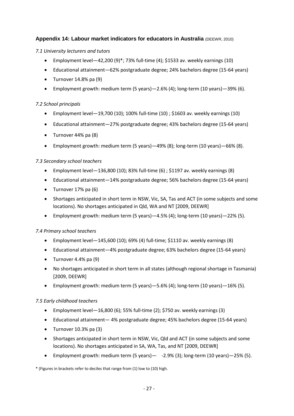# **Appendix 14: Labour market indicators for educators in Australia (DEEWR, 2010)**

# *7.1 University lecturers and tutors*

- **Employment level—42,200 (9)\*; 73% full-time (4); \$1533 av. weekly earnings (10)**
- Educational attainment—62% postgraduate degree; 24% bachelors degree (15-64 years)
- $\bullet$  Turnover 14.8% pa (9)
- Employment growth: medium term (5 years)—2.6% (4); long-term (10 years)—39% (6).

# *7.2 School principals*

- Employment level—19,700 (10); 100% full-time (10) ; \$1603 av. weekly earnings (10)
- Educational attainment—27% postgraduate degree; 43% bachelors degree (15-64 years)
- Turnover 44% pa (8)
- Employment growth: medium term (5 years)—49% (8); long-term (10 years)—66% (8).

# *7.3 Secondary school teachers*

- **Employment level**—136,800 (10); 83% full-time  $(6)$  ; \$1197 av. weekly earnings  $(8)$
- Educational attainment—14% postgraduate degree; 56% bachelors degree (15-64 years)
- $\bullet$  Turnover 17% pa (6)
- Shortages anticipated in short term in NSW, Vic, SA, Tas and ACT (in some subjects and some locations). No shortages anticipated in Qld, WA and NT [2009, DEEWR]
- Employment growth: medium term (5 years)—4.5% (4); long-term (10 years)—22% (5).

# *7.4 Primary school teachers*

- Employment level—145,600 (10); 69% (4) full-time; \$1110 av. weekly earnings (8)
- Educational attainment—4% postgraduate degree; 63% bachelors degree (15-64 years)
- $\bullet$  Turnover 4.4% pa (9)
- No shortages anticipated in short term in all states (although regional shortage in Tasmania) [2009, DEEWR]
- **Employment growth: medium term (5 years)**—5.6% (4); long-term (10 years)—16% (5).

# *7.5 Early childhood teachers*

- **Employment level**  $-16,800$  (6); 55% full-time (2); \$750 av. weekly earnings (3)
- Educational attainment— 4% postgraduate degree; 45% bachelors degree (15-64 years)
- $\bullet$  Turnover 10.3% pa (3)
- Shortages anticipated in short term in NSW, Vic, Qld and ACT (in some subjects and some locations). No shortages anticipated in SA, WA, Tas, and NT [2009, DEEWR]
- **Employment growth: medium term (5 years)**  $-$  -2.9% (3); long-term (10 years) $-25%$  (5).

\* (Figures in brackets refer to deciles that range from (1) low to (10) high.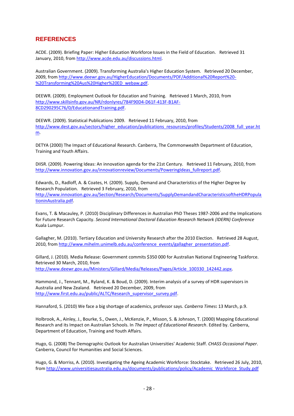# **REFERENCES**

ACDE. (2009). Briefing Paper: Higher Education Workforce Issues in the Field of Education. Retrieved 31 January, 2010, from [http://www.acde.edu.au/discussions.html.](http://www.acde.edu.au/discussions.html)

Australian Government. (2009). Transforming Australia's Higher Education System. Retrieved 20 December, 2009, from [http://www.deewr.gov.au/HigherEducation/Documents/PDF/Additional%20Report%20-](http://www.deewr.gov.au/HigherEducation/Documents/PDF/Additional%20Report%20-%20Transforming%20Aus%20Higher%20ED_webaw.pdf) [%20Transforming%20Aus%20Higher%20ED\\_webaw.pdf.](http://www.deewr.gov.au/HigherEducation/Documents/PDF/Additional%20Report%20-%20Transforming%20Aus%20Higher%20ED_webaw.pdf)

DEEWR. (2009). Employment Outlook for Education and Training. Retrieved 1 March, 2010, from [http://www.skillsinfo.gov.au/NR/rdonlyres/784F90D4-D61F-413F-B1AF-](http://www.skillsinfo.gov.au/NR/rdonlyres/784F90D4-D61F-413F-B1AF-8CD290295C76/0/EducationandTraining.pdf)[8CD290295C76/0/EducationandTraining.pdf.](http://www.skillsinfo.gov.au/NR/rdonlyres/784F90D4-D61F-413F-B1AF-8CD290295C76/0/EducationandTraining.pdf)

DEEWR. (2009). Statistical Publications 2009. Retrieved 11 February, 2010, from [http://www.dest.gov.au/sectors/higher\\_education/publications\\_resources/profiles/Students/2008\\_full\\_year.ht](http://www.dest.gov.au/sectors/higher_education/publications_resources/profiles/Students/2008_full_year.htm) [m.](http://www.dest.gov.au/sectors/higher_education/publications_resources/profiles/Students/2008_full_year.htm)

DETYA (2000) The Impact of Educational Research. Canberra, The Commonwealth Department of Education, Training and Youth Affairs.

DIISR. (2009). Powering Ideas: An innovation agenda for the 21st Century. Retrieved 11 February, 2010, from [http://www.innovation.gov.au/innovationreview/Documents/PoweringIdeas\\_fullreport.pdf.](http://www.innovation.gov.au/innovationreview/Documents/PoweringIdeas_fullreport.pdf)

Edwards, D., Radloff, A. & Coates, H. (2009). Supply, Demand and Characteristics of the Higher Degree by Research Population. Retrieved 3 February, 2010, from [http://www.innovation.gov.au/Section/Research/Documents/SupplyDemandandCharacteristicsoftheHDRPopula](http://www.innovation.gov.au/Section/Research/Documents/SupplyDemandandCharacteristicsoftheHDRPopulationinAustralia.pdf) [tioninAustralia.pdf.](http://www.innovation.gov.au/Section/Research/Documents/SupplyDemandandCharacteristicsoftheHDRPopulationinAustralia.pdf)

Evans, T. & Macauley, P. (2010) Disciplinary Differences in Australian PhD Theses 1987-2006 and the Implications for Future Research Capacity. *Second International Doctoral Education Research Network (IDERN) Conference*  Kuala Lumpur.

Gallagher, M. (2010). Tertiary Education and University Research after the 2010 Election. Retrieved 28 August, 2010, from [http://www.mihelm.unimelb.edu.au/conference\\_events/gallagher\\_presentation.pdf.](http://www.mihelm.unimelb.edu.au/conference_events/gallagher_presentation.pdf)

Gillard, J. (2010). Media Release: Government commits \$350 000 for Australian National Engineering Taskforce. Retrieved 30 March, 2010, from [http://www.deewr.gov.au/Ministers/Gillard/Media/Releases/Pages/Article\\_100330\\_142442.aspx.](http://www.deewr.gov.au/Ministers/Gillard/Media/Releases/Pages/Article_100330_142442.aspx)

Hammond, J., Tennant, M., Ryland, K. & Boud, D. (2009). Interim analysis of a survey of HDR supervisors in Australia and New Zealand. Retrieved 20 December, 2009, from [http://www.first.edu.au/public/ALTC/Research\\_supervisor\\_survey.pdf.](http://www.first.edu.au/public/ALTC/Research_supervisor_survey.pdf)

Hannaford, S. (2010) We face a big shortage of academics, professor says. *Canberra Times***:** 13 March, p.9.

Holbrook, A., Ainley, J., Bourke, S., Owen, J., McKenzie, P., Misson, S. & Johnson, T. (2000) Mapping Educational Research and its Impact on Australian Schools. In *The Impact of Educational Research*. Edited by. Canberra, Department of Education, Training and Youth Affairs.

Hugo, G. (2008) The Demographic Outlook for Australian Universities' Academic Staff. *CHASS Occasional Paper*. Canberra, Council for Humanities and Social Sciences.

Hugo, G. & Morriss, A. (2010). Investigating the Ageing Academic Workforce: Stocktake. Retrieved 26 July, 2010, from [http://www.universitiesaustralia.edu.au/documents/publications/policy/Academic\\_Workforce\\_Study.pdf](http://www.universitiesaustralia.edu.au/documents/publications/policy/Academic_Workforce_Study.pdf)